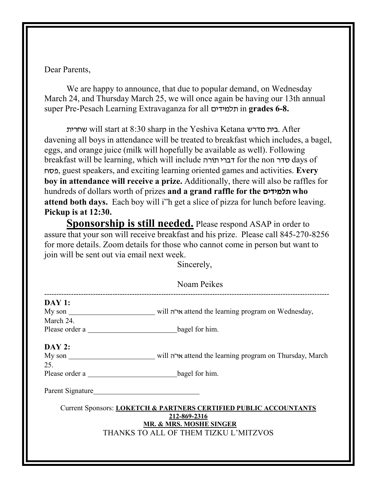Dear Parents,

We are happy to announce, that due to popular demand, on Wednesday March 24, and Thursday March 25, we will once again be having our 13th annual super Pre-Pesach Learning Extravaganza for all תלמידים in grades 6-8.

 will start at 8:30 sharp in the Yeshiva Ketana . After davening all boys in attendance will be treated to breakfast which includes, a bagel, eggs, and orange juice (milk will hopefully be available as well). Following breakfast will be learning, which will include דברי תורה for the non סדר , guest speakers, and exciting learning oriented games and activities. Every boy in attendance will receive a prize. Additionally, there will also be raffles for hundreds of dollars worth of prizes and a grand raffle for the תלמידים attend both days. Each boy will i"h get a slice of pizza for lunch before leaving. Pickup is at 12:30.

Sponsorship is still needed. Please respond ASAP in order to assure that your son will receive breakfast and his prize. Please call 845-270-8256 for more details. Zoom details for those who cannot come in person but want to join will be sent out via email next week.

Sincerely,

| Noam Peikes                                                                                                             |                                                                                     |
|-------------------------------------------------------------------------------------------------------------------------|-------------------------------------------------------------------------------------|
| <b>DAY 1:</b>                                                                                                           |                                                                                     |
|                                                                                                                         | My son ________________________ will אי"ה attend the learning program on Wednesday, |
| March 24.                                                                                                               |                                                                                     |
|                                                                                                                         |                                                                                     |
|                                                                                                                         |                                                                                     |
| <b>DAY 2:</b>                                                                                                           |                                                                                     |
|                                                                                                                         |                                                                                     |
| 25.                                                                                                                     |                                                                                     |
| Please order a bagel for him.                                                                                           |                                                                                     |
|                                                                                                                         |                                                                                     |
| Current Sponsors: LOKETCH & PARTNERS CERTIFIED PUBLIC ACCOUNTANTS<br>212-869-2316<br><b>MR. &amp; MRS. MOSHE SINGER</b> |                                                                                     |
| THANKS TO ALL OF THEM TIZKU L'MITZVOS                                                                                   |                                                                                     |
|                                                                                                                         |                                                                                     |
|                                                                                                                         |                                                                                     |
|                                                                                                                         |                                                                                     |